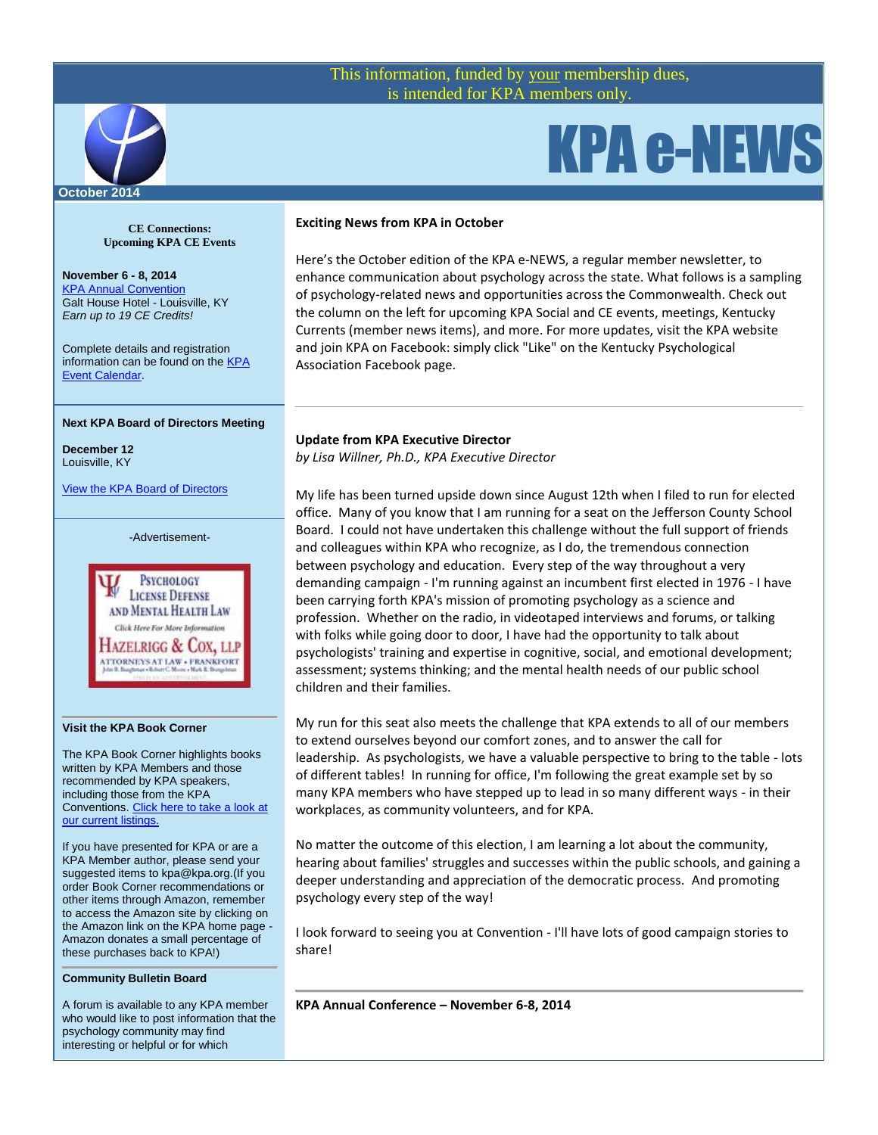# This information, funded by your membership dues, is intended for KPA members only.



# **CE Connections: Upcoming KPA CE Events**

**November 6 - 8, 2014** [KPA Annual Convention](http://www.kpa.org/?page=2014Convention) Galt House Hotel - Louisville, KY *Earn up to 19 CE Credits!*

Complete details and registration information can be found on the **KPA** [Event Calendar.](http://www.kpa.org/events/event_list.asp)

### **Next KPA Board of Directors Meeting**

**December 12** Louisville, KY

[View the KPA Board of Directors](http://www.kpa.org/?page=BoardofDirectors)

-Advertisement-



#### **Visit the KPA Book Corner**

The KPA Book Corner highlights books written by KPA Members and those recommended by KPA speakers, including those from the KPA Conventions[. Click here to take a look at](http://www.kpa.org/?477)  [our current listings.](http://www.kpa.org/?477)

If you have presented for KPA or are a KPA Member author, please send your suggested items to kpa@kpa.org.(If you order Book Corner recommendations or other items through Amazon, remember to access the Amazon site by clicking on the Amazon link on the KPA home page - Amazon donates a small percentage of these purchases back to KPA!)

#### **Community Bulletin Board**

A forum is available to any KPA member who would like to post information that the psychology community may find interesting or helpful or for which

### **Exciting News from KPA in October**

Here's the October edition of the KPA e-NEWS, a regular member newsletter, to enhance communication about psychology across the state. What follows is a sampling of psychology-related news and opportunities across the Commonwealth. Check out the column on the left for upcoming KPA Social and CE events, meetings, Kentucky Currents (member news items), and more. For more updates, visit the KPA website and join KPA on Facebook: simply click "Like" on the Kentucky Psychological Association Facebook page.

KPA e-NEWS

# **Update from KPA Executive Director**

*by Lisa Willner, Ph.D., KPA Executive Director*

My life has been turned upside down since August 12th when I filed to run for elected office. Many of you know that I am running for a seat on the Jefferson County School Board. I could not have undertaken this challenge without the full support of friends and colleagues within KPA who recognize, as I do, the tremendous connection between psychology and education. Every step of the way throughout a very demanding campaign - I'm running against an incumbent first elected in 1976 - I have been carrying forth KPA's mission of promoting psychology as a science and profession. Whether on the radio, in videotaped interviews and forums, or talking with folks while going door to door, I have had the opportunity to talk about psychologists' training and expertise in cognitive, social, and emotional development; assessment; systems thinking; and the mental health needs of our public school children and their families.

My run for this seat also meets the challenge that KPA extends to all of our members to extend ourselves beyond our comfort zones, and to answer the call for leadership. As psychologists, we have a valuable perspective to bring to the table - lots of different tables! In running for office, I'm following the great example set by so many KPA members who have stepped up to lead in so many different ways - in their workplaces, as community volunteers, and for KPA.

No matter the outcome of this election, I am learning a lot about the community, hearing about families' struggles and successes within the public schools, and gaining a deeper understanding and appreciation of the democratic process. And promoting psychology every step of the way!

I look forward to seeing you at Convention - I'll have lots of good campaign stories to share!

**KPA Annual Conference – November 6-8, 2014**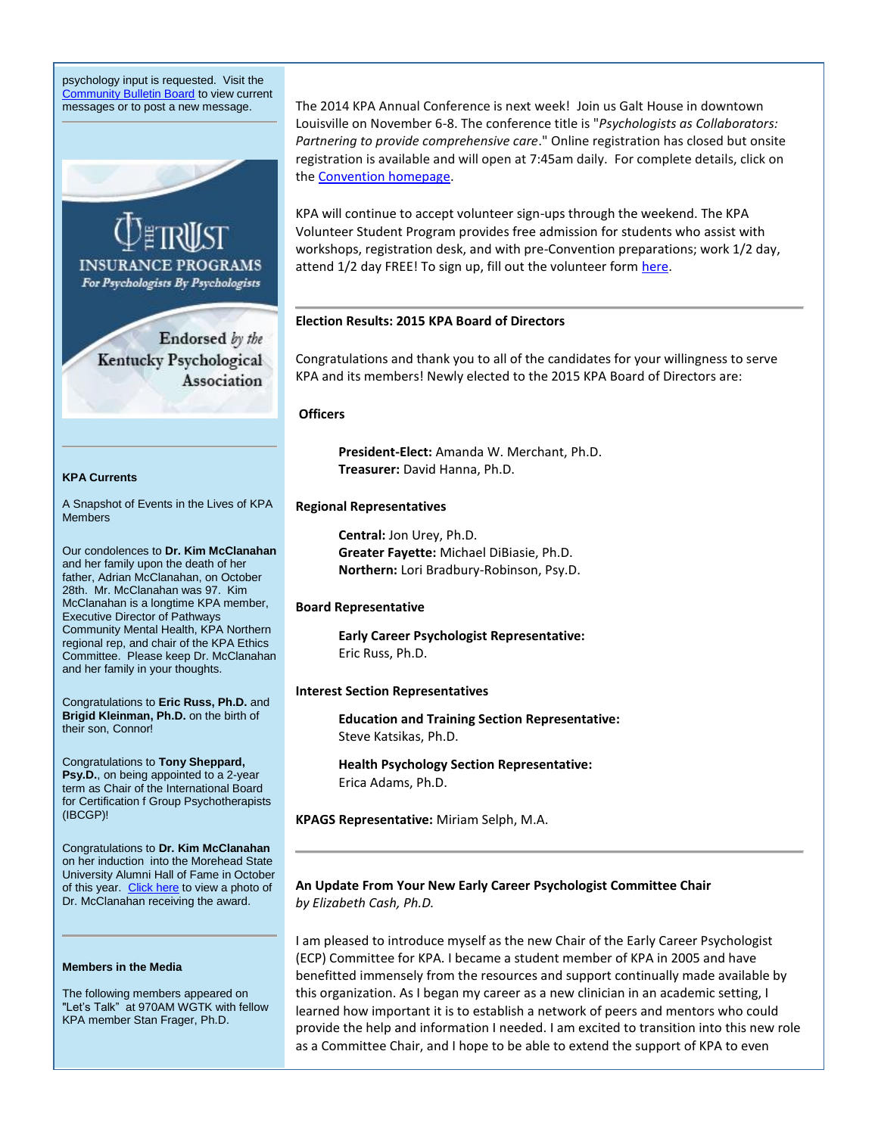psychology input is requested. Visit the **[Community Bulletin Board](http://kpa.site-ym.com/forums/)** to view current messages or to post a new message.



Our condolences to **Dr. Kim McClanahan** and her family upon the death of her father, Adrian McClanahan, on October 28th. Mr. McClanahan was 97. Kim McClanahan is a longtime KPA member, Executive Director of Pathways Community Mental Health, KPA Northern regional rep, and chair of the KPA Ethics Committee. Please keep Dr. McClanahan and her family in your thoughts.

Congratulations to **Eric Russ, Ph.D.** and **Brigid Kleinman, Ph.D.** on the birth of their son, Connor!

Congratulations to **Tony Sheppard, Psy.D.**, on being appointed to a 2-year term as Chair of the International Board for Certification f Group Psychotherapists (IBCGP)!

Congratulations to **Dr. Kim McClanahan** on her induction into the Morehead State University Alumni Hall of Fame in October of this year. [Click here](http://www.kpa.org/default.asp?) to view a photo of Dr. McClanahan receiving the award.

### **Members in the Media**

The following members appeared on "Let's Talk" at 970AM WGTK with fellow KPA member Stan Frager, Ph.D.

The 2014 KPA Annual Conference is next week! Join us Galt House in downtown Louisville on November 6-8. The conference title is "*Psychologists as Collaborators: Partnering to provide comprehensive care*." Online registration has closed but onsite registration is available and will open at 7:45am daily. For complete details, click on the [Convention homepage.](https://kpa.site-ym.com/general/custom.asp?page=2014Convention)

KPA will continue to accept volunteer sign-ups through the weekend. The KPA Volunteer Student Program provides free admission for students who assist with workshops, registration desk, and with pre-Convention preparations; work 1/2 day, attend 1/2 day FREE! To sign up, fill out the volunteer form [here.](https://kpa.site-ym.com/?ConvVolStudent)

#### **Election Results: 2015 KPA Board of Directors**

Congratulations and thank you to all of the candidates for your willingness to serve KPA and its members! Newly elected to the 2015 KPA Board of Directors are:

## **Officers**

**President‐Elect:** Amanda W. Merchant, Ph.D. **Treasurer:** David Hanna, Ph.D.

#### **Regional Representatives**

**Central:** Jon Urey, Ph.D. **Greater Fayette:** Michael DiBiasie, Ph.D. **Northern:** Lori Bradbury‐Robinson, Psy.D.

#### **Board Representative**

**Early Career Psychologist Representative:** Eric Russ, Ph.D.

#### **Interest Section Representatives**

**Education and Training Section Representative:** Steve Katsikas, Ph.D.

**Health Psychology Section Representative:** Erica Adams, Ph.D.

**KPAGS Representative:** Miriam Selph, M.A.

# **An Update From Your New Early Career Psychologist Committee Chair** *by Elizabeth Cash, Ph.D.*

I am pleased to introduce myself as the new Chair of the Early Career Psychologist (ECP) Committee for KPA. I became a student member of KPA in 2005 and have benefitted immensely from the resources and support continually made available by this organization. As I began my career as a new clinician in an academic setting, I learned how important it is to establish a network of peers and mentors who could provide the help and information I needed. I am excited to transition into this new role as a Committee Chair, and I hope to be able to extend the support of KPA to even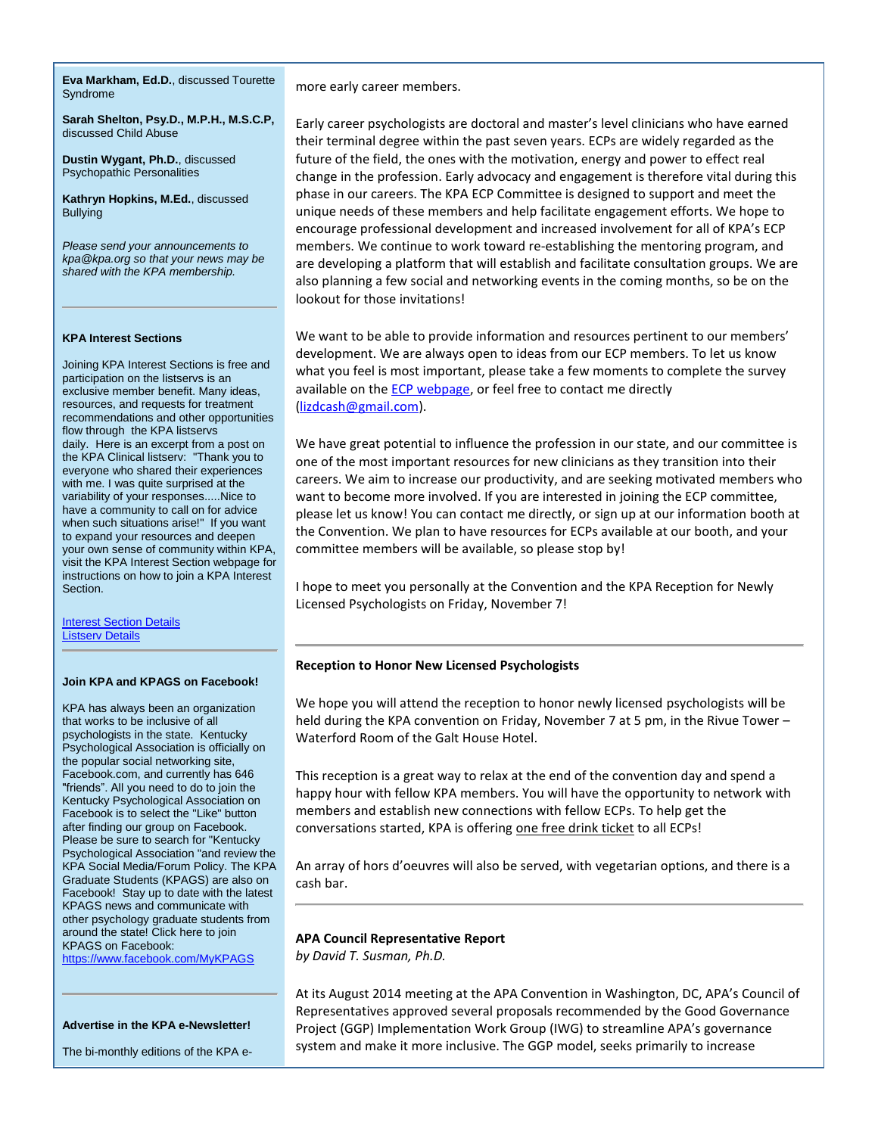**Eva Markham, Ed.D.**, discussed Tourette Syndrome

**Sarah Shelton, Psy.D., M.P.H., M.S.C.P,**  discussed Child Abuse

**Dustin Wygant, Ph.D.**, discussed Psychopathic Personalities

**Kathryn Hopkins, M.Ed.**, discussed Bullying

*Please send your announcements to kpa@kpa.org so that your news may be shared with the KPA membership.* 

#### **KPA Interest Sections**

Joining KPA Interest Sections is free and participation on the listservs is an exclusive member benefit. Many ideas, resources, and requests for treatment recommendations and other opportunities flow through the KPA listservs daily. Here is an excerpt from a post on the KPA Clinical listserv: "Thank you to everyone who shared their experiences with me. I was quite surprised at the variability of your responses.....Nice to have a community to call on for advice when such situations arise!" If you want to expand your resources and deepen your own sense of community within KPA, visit the KPA Interest Section webpage for instructions on how to join a KPA Interest Section.

**Interest Section Details** [Listserv Details](http://www.kpa.org/?page=ListservTransition)

#### **Join KPA and KPAGS on Facebook!**

KPA has always been an organization that works to be inclusive of all psychologists in the state. Kentucky Psychological Association is officially on the popular social networking site, Facebook.com, and currently has 646 "friends". All you need to do to join the Kentucky Psychological Association on Facebook is to select the "Like" button after finding our group on Facebook. Please be sure to search for "Kentucky Psychological Association "and review the KPA Social Media/Forum Policy. The KPA Graduate Students (KPAGS) are also on Facebook! Stay up to date with the latest KPAGS news and communicate with other psychology graduate students from around the state! Click here to join KPAGS on Facebook:

<https://www.facebook.com/MyKPAGS>

#### **Advertise in the KPA e-Newsletter!**

The bi-monthly editions of the KPA e-

more early career members.

Early career psychologists are doctoral and master's level clinicians who have earned their terminal degree within the past seven years. ECPs are widely regarded as the future of the field, the ones with the motivation, energy and power to effect real change in the profession. Early advocacy and engagement is therefore vital during this phase in our careers. The KPA ECP Committee is designed to support and meet the unique needs of these members and help facilitate engagement efforts. We hope to encourage professional development and increased involvement for all of KPA's ECP members. We continue to work toward re-establishing the mentoring program, and are developing a platform that will establish and facilitate consultation groups. We are also planning a few social and networking events in the coming months, so be on the lookout for those invitations!

We want to be able to provide information and resources pertinent to our members' development. We are always open to ideas from our ECP members. To let us know what you feel is most important, please take a few moments to complete the survey available on the [ECP webpage,](http://www.kpa.org/?page=128) or feel free to contact me directly [\(lizdcash@gmail.com\)](mailto:lizdcash@gmail.com).

We have great potential to influence the profession in our state, and our committee is one of the most important resources for new clinicians as they transition into their careers. We aim to increase our productivity, and are seeking motivated members who want to become more involved. If you are interested in joining the ECP committee, please let us know! You can contact me directly, or sign up at our information booth at the Convention. We plan to have resources for ECPs available at our booth, and your committee members will be available, so please stop by!

I hope to meet you personally at the Convention and the KPA Reception for Newly Licensed Psychologists on Friday, November 7!

#### **Reception to Honor New Licensed Psychologists**

We hope you will attend the reception to honor newly licensed psychologists will be held during the KPA convention on Friday, November 7 at 5 pm, in the Rivue Tower – Waterford Room of the Galt House Hotel.

This reception is a great way to relax at the end of the convention day and spend a happy hour with fellow KPA members. You will have the opportunity to network with members and establish new connections with fellow ECPs. To help get the conversations started, KPA is offering one free drink ticket to all ECPs!

An array of hors d'oeuvres will also be served, with vegetarian options, and there is a cash bar.

### **APA Council Representative Report**

*by David T. Susman, Ph.D.*

At its August 2014 meeting at the APA Convention in Washington, DC, APA's Council of Representatives approved several proposals recommended by the Good Governance Project (GGP) Implementation Work Group (IWG) to streamline APA's governance system and make it more inclusive. The GGP model, seeks primarily to increase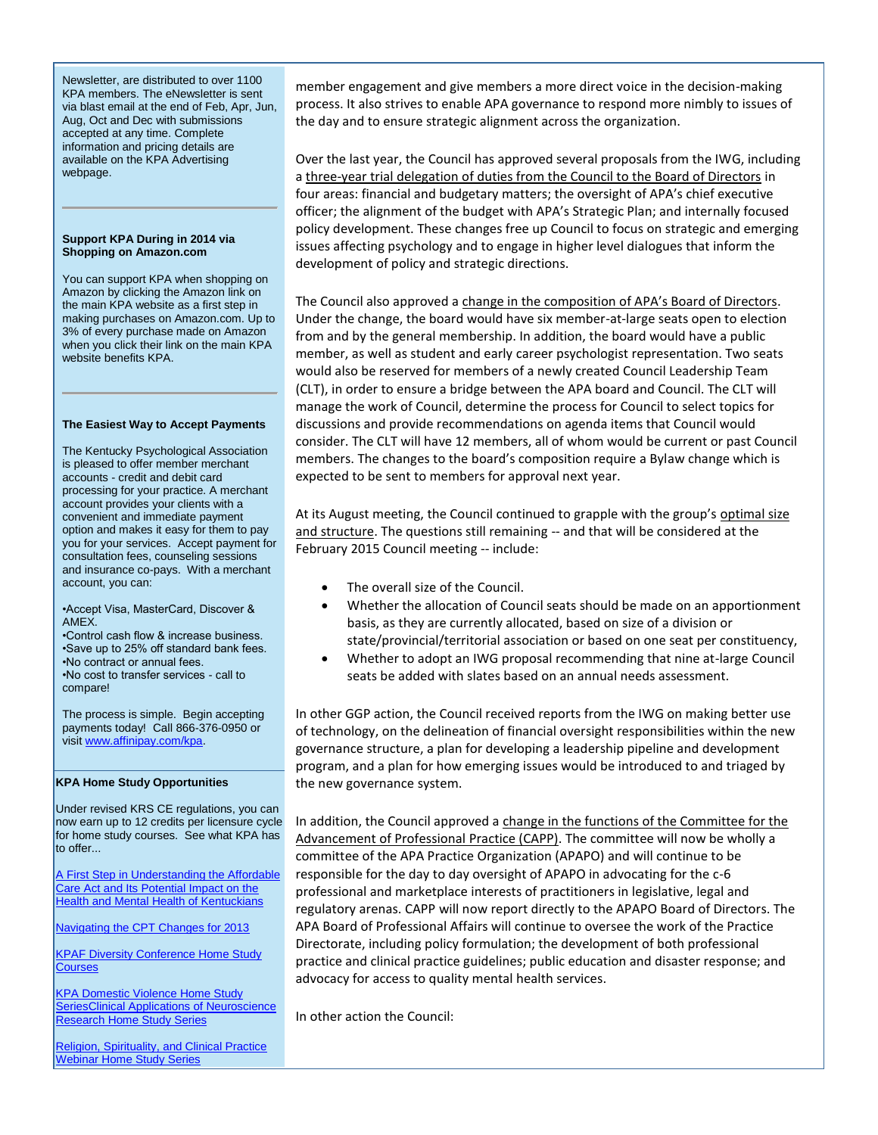Newsletter, are distributed to over 1100 KPA members. The eNewsletter is sent via blast email at the end of Feb, Apr, Jun, Aug, Oct and Dec with submissions accepted at any time. Complete information and pricing details are available on the KPA Advertising webpage.

#### **Support KPA During in 2014 via Shopping on Amazon.com**

You can support KPA when shopping on Amazon by clicking the Amazon link on the main KPA website as a first step in making purchases on Amazon.com. Up to 3% of every purchase made on Amazon when you click their link on the main KPA website benefits KPA.

#### **The Easiest Way to Accept Payments**

The Kentucky Psychological Association is pleased to offer member merchant accounts - credit and debit card processing for your practice. A merchant account provides your clients with a convenient and immediate payment option and makes it easy for them to pay you for your services. Accept payment for consultation fees, counseling sessions and insurance co-pays. With a merchant account, you can:

•Accept Visa, MasterCard, Discover & AMEX.

•Control cash flow & increase business. •Save up to 25% off standard bank fees. •No contract or annual fees. •No cost to transfer services - call to compare!

The process is simple. Begin accepting payments today! Call 866-376-0950 or visi[t www.affinipay.com/kpa.](http://www.affinipay.com/kpa)

#### **KPA Home Study Opportunities**

Under revised KRS CE regulations, you can now earn up to 12 credits per licensure cycle for home study courses. See what KPA has to offer...

[A First Step in Understanding the Affordable](https://kpa.site-ym.com/displaycommon.cfm?an=1&subarticlenbr=670)  Care Act and Its Potential Impact on the [Health and Mental Health of Kentuckians](https://kpa.site-ym.com/displaycommon.cfm?an=1&subarticlenbr=670)

[Navigating the CPT Changes for 2013](http://www.kpa.org/?page=610)

[KPAF Diversity Conference Home Study](http://www.kpa.org/general/custom.asp?page=606)  **[Courses](http://www.kpa.org/general/custom.asp?page=606)** 

[KPA Domestic Violence Home Study](http://www.kpa.org/?page=505)  [SeriesClinical Applications of Neuroscience](http://www.kpa.org/?page=505)  [Research Home Study Series](http://www.kpa.org/?page=505)

[Religion, Spirituality, and Clinical Practice](http://www.kpa.org/general/custom.asp?page=553)  [Webinar Home Study Series](http://www.kpa.org/general/custom.asp?page=553)

member engagement and give members a more direct voice in the decision-making process. It also strives to enable APA governance to respond more nimbly to issues of the day and to ensure strategic alignment across the organization.

Over the last year, the Council has approved several proposals from the IWG, including a three-year trial delegation of duties from the Council to the Board of Directors in four areas: financial and budgetary matters; the oversight of APA's chief executive officer; the alignment of the budget with APA's Strategic Plan; and internally focused policy development. These changes free up Council to focus on strategic and emerging issues affecting psychology and to engage in higher level dialogues that inform the development of policy and strategic directions.

The Council also approved a change in the composition of APA's Board of Directors. Under the change, the board would have six member-at-large seats open to election from and by the general membership. In addition, the board would have a public member, as well as student and early career psychologist representation. Two seats would also be reserved for members of a newly created Council Leadership Team (CLT), in order to ensure a bridge between the APA board and Council. The CLT will manage the work of Council, determine the process for Council to select topics for discussions and provide recommendations on agenda items that Council would consider. The CLT will have 12 members, all of whom would be current or past Council members. The changes to the board's composition require a Bylaw change which is expected to be sent to members for approval next year.

At its August meeting, the Council continued to grapple with the group's optimal size and structure. The questions still remaining -- and that will be considered at the February 2015 Council meeting -- include:

- The overall size of the Council.
- Whether the allocation of Council seats should be made on an apportionment basis, as they are currently allocated, based on size of a division or state/provincial/territorial association or based on one seat per constituency,
- Whether to adopt an IWG proposal recommending that nine at-large Council seats be added with slates based on an annual needs assessment.

In other GGP action, the Council received reports from the IWG on making better use of technology, on the delineation of financial oversight responsibilities within the new governance structure, a plan for developing a leadership pipeline and development program, and a plan for how emerging issues would be introduced to and triaged by the new governance system.

In addition, the Council approved a change in the functions of the Committee for the Advancement of Professional Practice (CAPP). The committee will now be wholly a committee of the APA Practice Organization (APAPO) and will continue to be responsible for the day to day oversight of APAPO in advocating for the c-6 professional and marketplace interests of practitioners in legislative, legal and regulatory arenas. CAPP will now report directly to the APAPO Board of Directors. The APA Board of Professional Affairs will continue to oversee the work of the Practice Directorate, including policy formulation; the development of both professional practice and clinical practice guidelines; public education and disaster response; and advocacy for access to quality mental health services.

In other action the Council: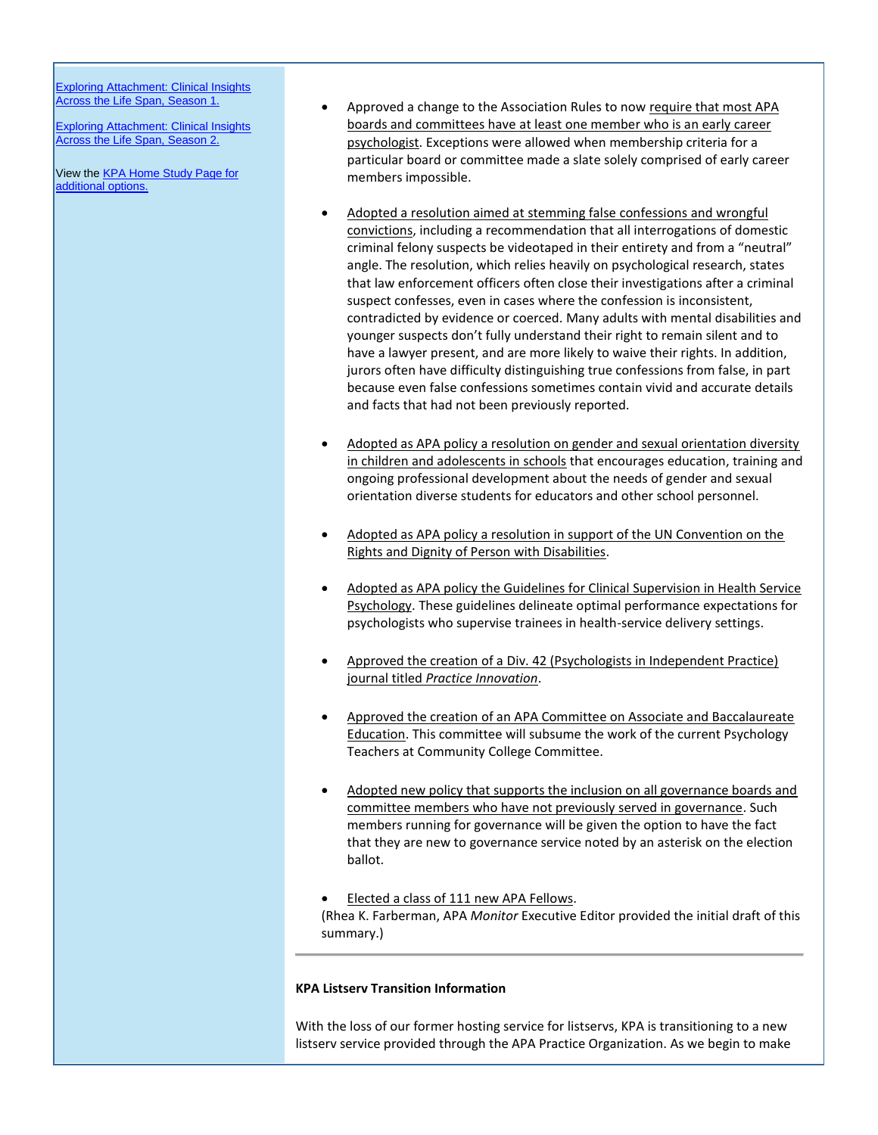[Exploring Attachment: Clinical Insights](http://www.kpa.org/?page=688)  [Across the Life Span, Season 1.](http://www.kpa.org/?page=688)

[Exploring Attachment: Clinical Insights](https://kpa.site-ym.com/?Attachment_S2)  [Across the Life Span, Season 2.](https://kpa.site-ym.com/?Attachment_S2)

View the **KPA Home Study Page for** [additional options.](https://kpa.site-ym.com/displaycommon.cfm?an=1&subarticlenbr=15)

- Approved a change to the Association Rules to now require that most APA boards and committees have at least one member who is an early career psychologist. Exceptions were allowed when membership criteria for a particular board or committee made a slate solely comprised of early career members impossible.
- Adopted a resolution aimed at stemming false confessions and wrongful convictions, including a recommendation that all interrogations of domestic criminal felony suspects be videotaped in their entirety and from a "neutral" angle. The resolution, which relies heavily on psychological research, states that law enforcement officers often close their investigations after a criminal suspect confesses, even in cases where the confession is inconsistent, contradicted by evidence or coerced. Many adults with mental disabilities and younger suspects don't fully understand their right to remain silent and to have a lawyer present, and are more likely to waive their rights. In addition, jurors often have difficulty distinguishing true confessions from false, in part because even false confessions sometimes contain vivid and accurate details and facts that had not been previously reported.
- Adopted as APA policy a resolution on gender and sexual orientation diversity in children and adolescents in schools that encourages education, training and ongoing professional development about the needs of gender and sexual orientation diverse students for educators and other school personnel.
- Adopted as APA policy a resolution in support of the UN Convention on the Rights and Dignity of Person with Disabilities.
- Adopted as APA policy the Guidelines for Clinical Supervision in Health Service Psychology. These guidelines delineate optimal performance expectations for psychologists who supervise trainees in health-service delivery settings.
- Approved the creation of a Div. 42 (Psychologists in Independent Practice) journal titled *Practice Innovation*.
- Approved the creation of an APA Committee on Associate and Baccalaureate Education. This committee will subsume the work of the current Psychology Teachers at Community College Committee.
- Adopted new policy that supports the inclusion on all governance boards and committee members who have not previously served in governance. Such members running for governance will be given the option to have the fact that they are new to governance service noted by an asterisk on the election ballot.
- Elected a class of 111 new APA Fellows. (Rhea K. Farberman, APA *Monitor* Executive Editor provided the initial draft of this summary.)

## **KPA Listserv Transition Information**

With the loss of our former hosting service for listservs, KPA is transitioning to a new listserv service provided through the APA Practice Organization. As we begin to make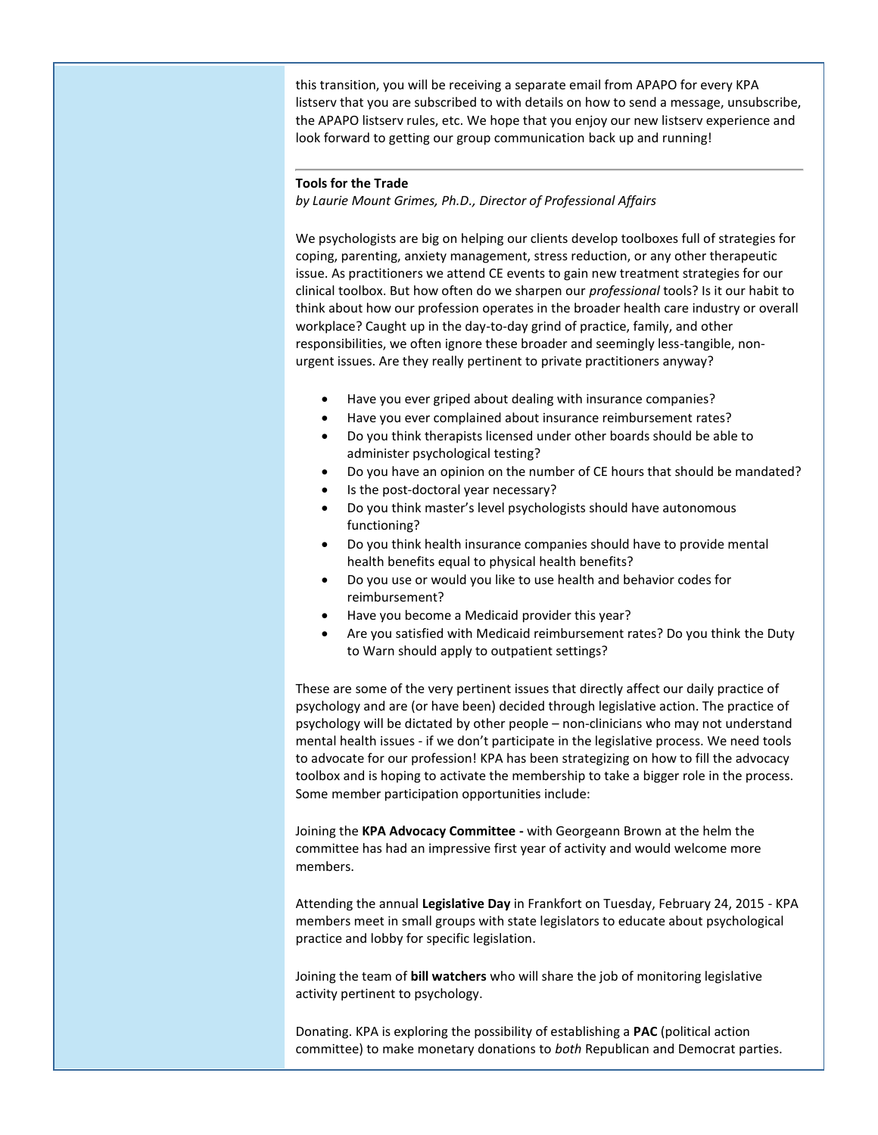this transition, you will be receiving a separate email from APAPO for every KPA listserv that you are subscribed to with details on how to send a message, unsubscribe, the APAPO listserv rules, etc. We hope that you enjoy our new listserv experience and look forward to getting our group communication back up and running!

## **Tools for the Trade**

*by Laurie Mount Grimes, Ph.D., Director of Professional Affairs*

We psychologists are big on helping our clients develop toolboxes full of strategies for coping, parenting, anxiety management, stress reduction, or any other therapeutic issue. As practitioners we attend CE events to gain new treatment strategies for our clinical toolbox. But how often do we sharpen our *professional* tools? Is it our habit to think about how our profession operates in the broader health care industry or overall workplace? Caught up in the day-to-day grind of practice, family, and other responsibilities, we often ignore these broader and seemingly less-tangible, nonurgent issues. Are they really pertinent to private practitioners anyway?

- Have you ever griped about dealing with insurance companies?
- Have you ever complained about insurance reimbursement rates?
- Do you think therapists licensed under other boards should be able to administer psychological testing?
- Do you have an opinion on the number of CE hours that should be mandated?
- Is the post-doctoral year necessary?
- Do you think master's level psychologists should have autonomous functioning?
- Do you think health insurance companies should have to provide mental health benefits equal to physical health benefits?
- Do you use or would you like to use health and behavior codes for reimbursement?
- Have you become a Medicaid provider this year?
- Are you satisfied with Medicaid reimbursement rates? Do you think the Duty to Warn should apply to outpatient settings?

These are some of the very pertinent issues that directly affect our daily practice of psychology and are (or have been) decided through legislative action. The practice of psychology will be dictated by other people – non-clinicians who may not understand mental health issues - if we don't participate in the legislative process. We need tools to advocate for our profession! KPA has been strategizing on how to fill the advocacy toolbox and is hoping to activate the membership to take a bigger role in the process. Some member participation opportunities include:

Joining the **KPA Advocacy Committee -** with Georgeann Brown at the helm the committee has had an impressive first year of activity and would welcome more members.

Attending the annual **Legislative Day** in Frankfort on Tuesday, February 24, 2015 - KPA members meet in small groups with state legislators to educate about psychological practice and lobby for specific legislation.

Joining the team of **bill watchers** who will share the job of monitoring legislative activity pertinent to psychology.

Donating. KPA is exploring the possibility of establishing a **PAC** (political action committee) to make monetary donations to *both* Republican and Democrat parties.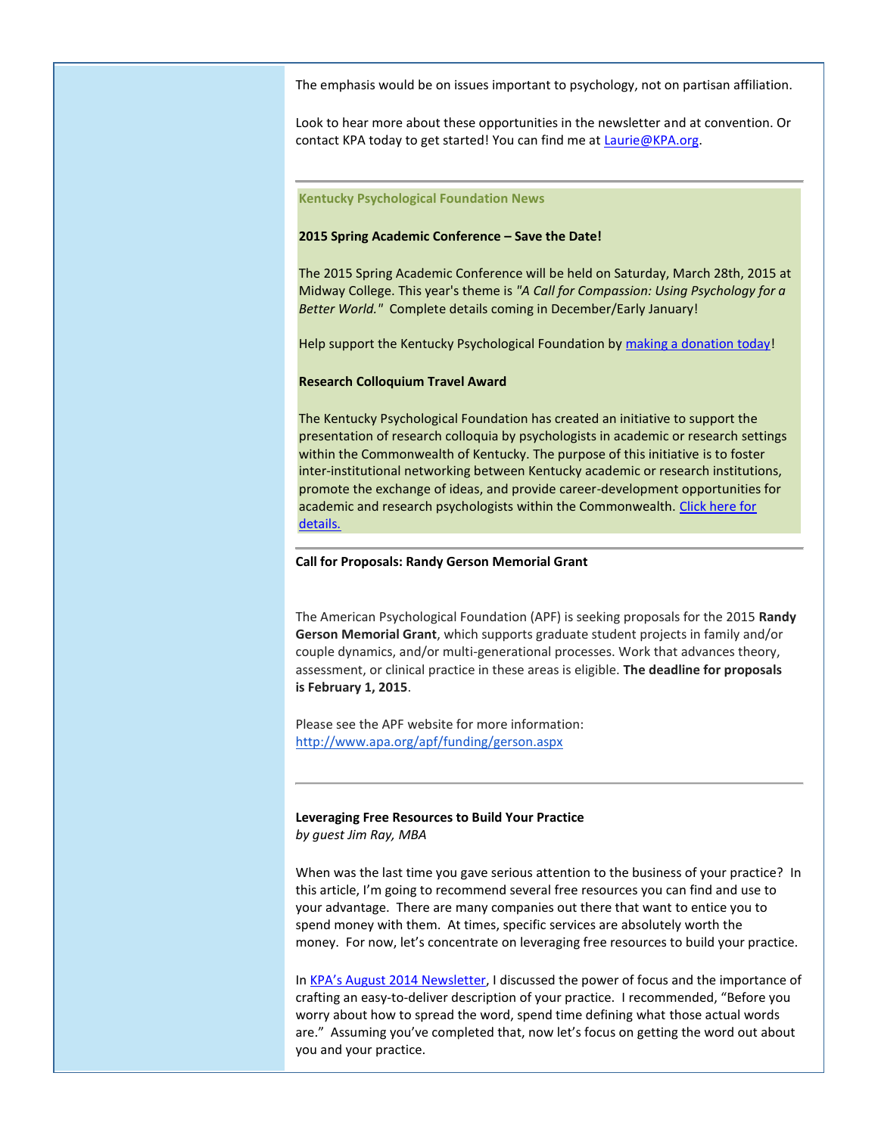The emphasis would be on issues important to psychology, not on partisan affiliation.

Look to hear more about these opportunities in the newsletter and at convention. Or contact KPA today to get started! You can find me a[t Laurie@KPA.org.](mailto:Laurie@KPA.org)

#### **Kentucky Psychological Foundation News**

#### **2015 Spring Academic Conference – Save the Date!**

The 2015 Spring Academic Conference will be held on Saturday, March 28th, 2015 at Midway College. This year's theme is *"A Call for Compassion: Using Psychology for a Better World."* Complete details coming in December/Early January!

Help support the Kentucky Psychological Foundation by [making a donation today!](http://www.kpa.org/donations/fund.asp?id=7869)

#### **Research Colloquium Travel Award**

The Kentucky Psychological Foundation has created an initiative to support the presentation of research colloquia by psychologists in academic or research settings within the Commonwealth of Kentucky. The purpose of this initiative is to foster inter-institutional networking between Kentucky academic or research institutions, promote the exchange of ideas, and provide career-development opportunities for academic and research psychologists within the Commonwealth. [Click here for](https://kpa.site-ym.com/?638)  [details.](https://kpa.site-ym.com/?638)

#### **Call for Proposals: Randy Gerson Memorial Grant**

The American Psychological Foundation (APF) is seeking proposals for the 2015 **Randy Gerson Memorial Grant**, which supports graduate student projects in family and/or couple dynamics, and/or multi-generational processes. Work that advances theory, assessment, or clinical practice in these areas is eligible. **The deadline for proposals is February 1, 2015**.

Please see the APF website for more information: [http://www.apa.org/apf/funding/gerson.aspx](http://www.kpa.org/link.asp?e=dr.sean.reilley@gmail.com&job=1553392&ymlink=2808980&finalurl=http%3A%2F%2Fwww%2Eapa%2Eorg%2Fapf%2Ffunding%2Fgerson%2Easpx)

**Leveraging Free Resources to Build Your Practice** *by guest Jim Ray, MBA*

When was the last time you gave serious attention to the business of your practice? In this article, I'm going to recommend several free resources you can find and use to your advantage. There are many companies out there that want to entice you to spend money with them. At times, specific services are absolutely worth the money. For now, let's concentrate on leveraging free resources to build your practice.

In [KPA's August 2014 Newsletter](http://jimrayconsultingservices.com/differentiate-yourself-to-grow-your-practice/), I discussed the power of focus and the importance of crafting an easy-to-deliver description of your practice. I recommended, "Before you worry about how to spread the word, spend time defining what those actual words are." Assuming you've completed that, now let's focus on getting the word out about you and your practice.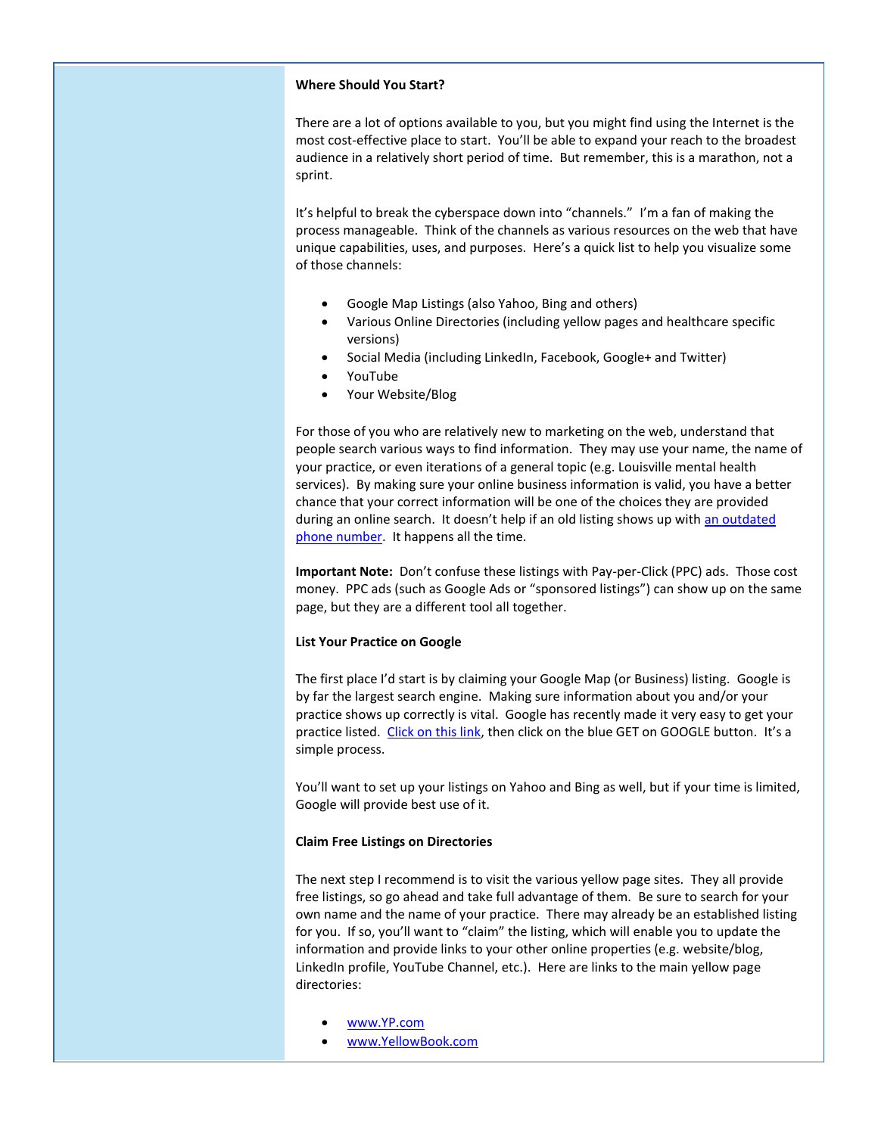### **Where Should You Start?**

There are a lot of options available to you, but you might find using the Internet is the most cost-effective place to start. You'll be able to expand your reach to the broadest audience in a relatively short period of time. But remember, this is a marathon, not a sprint.

It's helpful to break the cyberspace down into "channels." I'm a fan of making the process manageable. Think of the channels as various resources on the web that have unique capabilities, uses, and purposes. Here's a quick list to help you visualize some of those channels:

- Google Map Listings (also Yahoo, Bing and others)
- Various Online Directories (including yellow pages and healthcare specific versions)
- Social Media (including LinkedIn, Facebook, Google+ and Twitter)
- YouTube
- Your Website/Blog

For those of you who are relatively new to marketing on the web, understand that people search various ways to find information. They may use your name, the name of your practice, or even iterations of a general topic (e.g. Louisville mental health services). By making sure your online business information is valid, you have a better chance that your correct information will be one of the choices they are provided during an online search. It doesn't help if an old listing shows up with an outdated [phone number.](http://jimrayconsultingservices.com/remember-track-tracking-numbers/) It happens all the time.

**Important Note:** Don't confuse these listings with Pay-per-Click (PPC) ads. Those cost money. PPC ads (such as Google Ads or "sponsored listings") can show up on the same page, but they are a different tool all together.

## **List Your Practice on Google**

The first place I'd start is by claiming your Google Map (or Business) listing. Google is by far the largest search engine. Making sure information about you and/or your practice shows up correctly is vital. Google has recently made it very easy to get your practice listed. [Click on this link,](https://www.google.com/business/) then click on the blue GET on GOOGLE button. It's a simple process.

You'll want to set up your listings on Yahoo and Bing as well, but if your time is limited, Google will provide best use of it.

## **Claim Free Listings on Directories**

The next step I recommend is to visit the various yellow page sites. They all provide free listings, so go ahead and take full advantage of them. Be sure to search for your own name and the name of your practice. There may already be an established listing for you. If so, you'll want to "claim" the listing, which will enable you to update the information and provide links to your other online properties (e.g. website/blog, LinkedIn profile, YouTube Channel, etc.). Here are links to the main yellow page directories:

- [www.YP.com](http://www.yp.com/)
- [www.YellowBook.com](http://www.yellowbook.com/)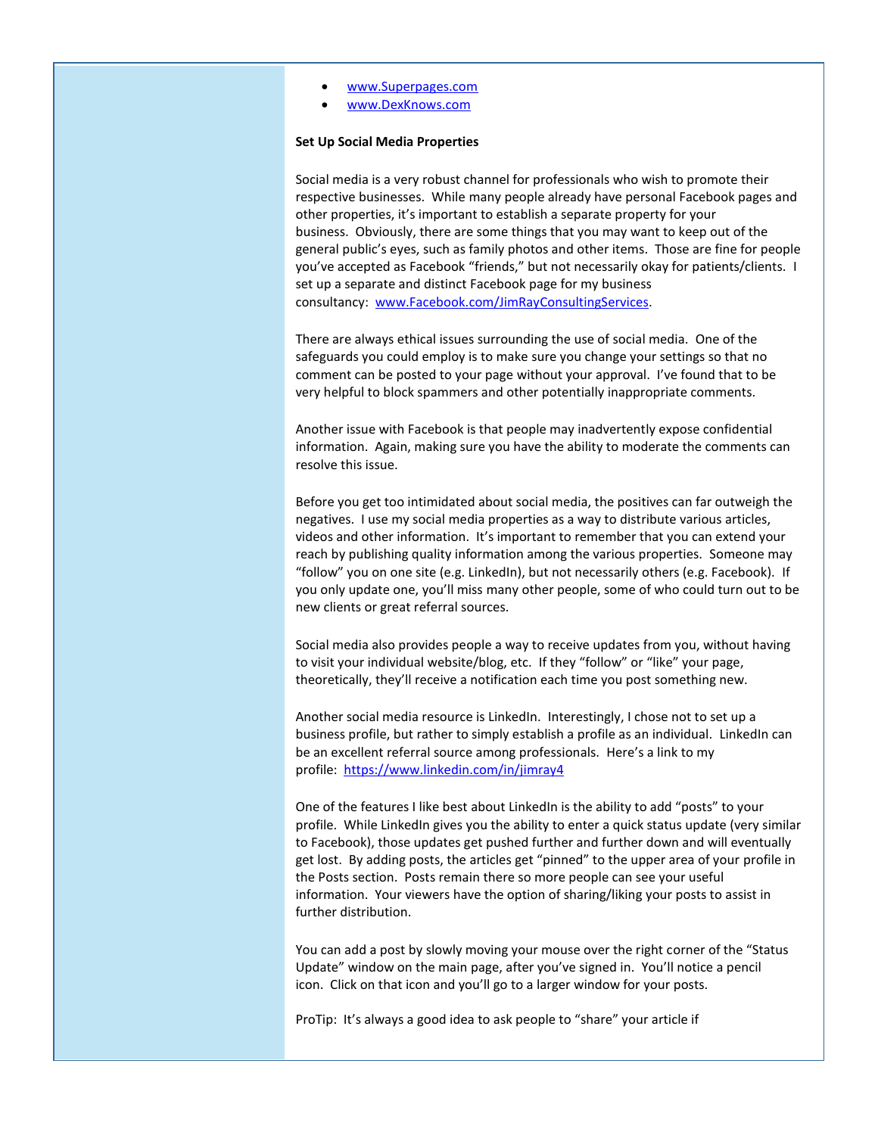- [www.Superpages.com](http://www.superpages.com/)
- [www.DexKnows.com](http://www.dexknows.com/)

### **Set Up Social Media Properties**

Social media is a very robust channel for professionals who wish to promote their respective businesses. While many people already have personal Facebook pages and other properties, it's important to establish a separate property for your business. Obviously, there are some things that you may want to keep out of the general public's eyes, such as family photos and other items. Those are fine for people you've accepted as Facebook "friends," but not necessarily okay for patients/clients. I set up a separate and distinct Facebook page for my business consultancy: [www.Facebook.com/JimRayConsultingServices.](http://www.facebook.com/JimRayConsultingServices)

There are always ethical issues surrounding the use of social media. One of the safeguards you could employ is to make sure you change your settings so that no comment can be posted to your page without your approval. I've found that to be very helpful to block spammers and other potentially inappropriate comments.

Another issue with Facebook is that people may inadvertently expose confidential information. Again, making sure you have the ability to moderate the comments can resolve this issue.

Before you get too intimidated about social media, the positives can far outweigh the negatives. I use my social media properties as a way to distribute various articles, videos and other information. It's important to remember that you can extend your reach by publishing quality information among the various properties. Someone may "follow" you on one site (e.g. LinkedIn), but not necessarily others (e.g. Facebook). If you only update one, you'll miss many other people, some of who could turn out to be new clients or great referral sources.

Social media also provides people a way to receive updates from you, without having to visit your individual website/blog, etc. If they "follow" or "like" your page, theoretically, they'll receive a notification each time you post something new.

Another social media resource is LinkedIn. Interestingly, I chose not to set up a business profile, but rather to simply establish a profile as an individual. LinkedIn can be an excellent referral source among professionals. Here's a link to my profile: <https://www.linkedin.com/in/jimray4>

One of the features I like best about LinkedIn is the ability to add "posts" to your profile. While LinkedIn gives you the ability to enter a quick status update (very similar to Facebook), those updates get pushed further and further down and will eventually get lost. By adding posts, the articles get "pinned" to the upper area of your profile in the Posts section. Posts remain there so more people can see your useful information. Your viewers have the option of sharing/liking your posts to assist in further distribution.

You can add a post by slowly moving your mouse over the right corner of the "Status Update" window on the main page, after you've signed in. You'll notice a pencil icon. Click on that icon and you'll go to a larger window for your posts.

ProTip: It's always a good idea to ask people to "share" your article if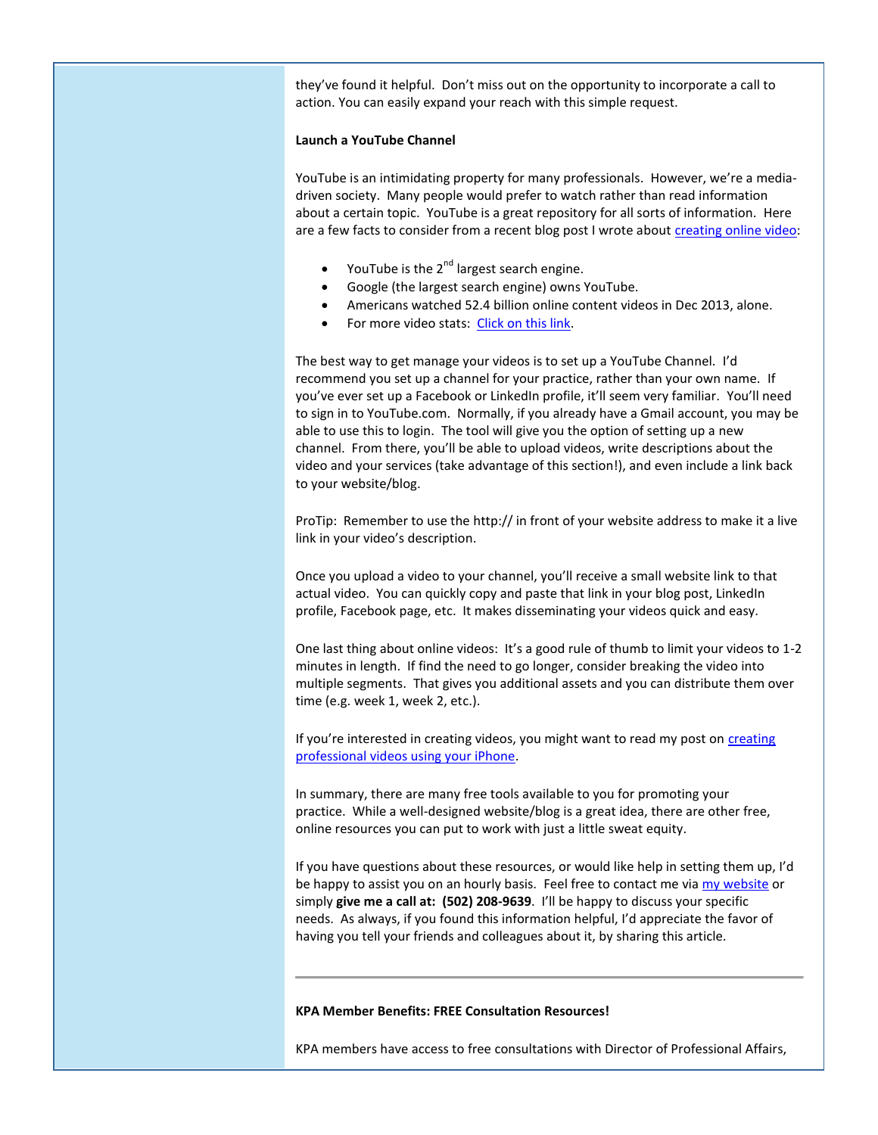they've found it helpful. Don't miss out on the opportunity to incorporate a call to action. You can easily expand your reach with this simple request.

## **Launch a YouTube Channel**

YouTube is an intimidating property for many professionals. However, we're a mediadriven society. Many people would prefer to watch rather than read information about a certain topic. YouTube is a great repository for all sorts of information. Here are a few facts to consider from a recent blog post I wrote abou[t creating online video:](http://jimrayconsultingservices.com/creating-website-videos-easy/)

- YouTube is the 2<sup>nd</sup> largest search engine.
- Google (the largest search engine) owns YouTube.
- Americans watched 52.4 billion online content videos in Dec 2013, alone.
- For more video stats: [Click on this link.](http://www.invodo.com/resources/statistics/)

The best way to get manage your videos is to set up a YouTube Channel. I'd recommend you set up a channel for your practice, rather than your own name. If you've ever set up a Facebook or LinkedIn profile, it'll seem very familiar. You'll need to sign in to YouTube.com. Normally, if you already have a Gmail account, you may be able to use this to login. The tool will give you the option of setting up a new channel. From there, you'll be able to upload videos, write descriptions about the video and your services (take advantage of this section!), and even include a link back to your website/blog.

ProTip: Remember to use the http:// in front of your website address to make it a live link in your video's description.

Once you upload a video to your channel, you'll receive a small website link to that actual video. You can quickly copy and paste that link in your blog post, LinkedIn profile, Facebook page, etc. It makes disseminating your videos quick and easy.

One last thing about online videos: It's a good rule of thumb to limit your videos to 1-2 minutes in length. If find the need to go longer, consider breaking the video into multiple segments. That gives you additional assets and you can distribute them over time (e.g. week 1, week 2, etc.).

If you're interested in [creating](http://jimrayconsultingservices.com/creating-website-videos-easy/) videos, you might want to read my post on creating [professional videos using your iPhone.](http://jimrayconsultingservices.com/creating-website-videos-easy/)

In summary, there are many free tools available to you for promoting your practice. While a well-designed website/blog is a great idea, there are other free, online resources you can put to work with just a little sweat equity.

If you have questions about these resources, or would like help in setting them up, I'd be happy to assist you on an hourly basis. Feel free to contact me via [my website](http://www.jimrayconsultingservices.com/contact) or simply **give me a call at: (502) 208-9639**. I'll be happy to discuss your specific needs. As always, if you found this information helpful, I'd appreciate the favor of having you tell your friends and colleagues about it, by sharing this article.

### **KPA Member Benefits: FREE Consultation Resources!**

KPA members have access to free consultations with Director of Professional Affairs,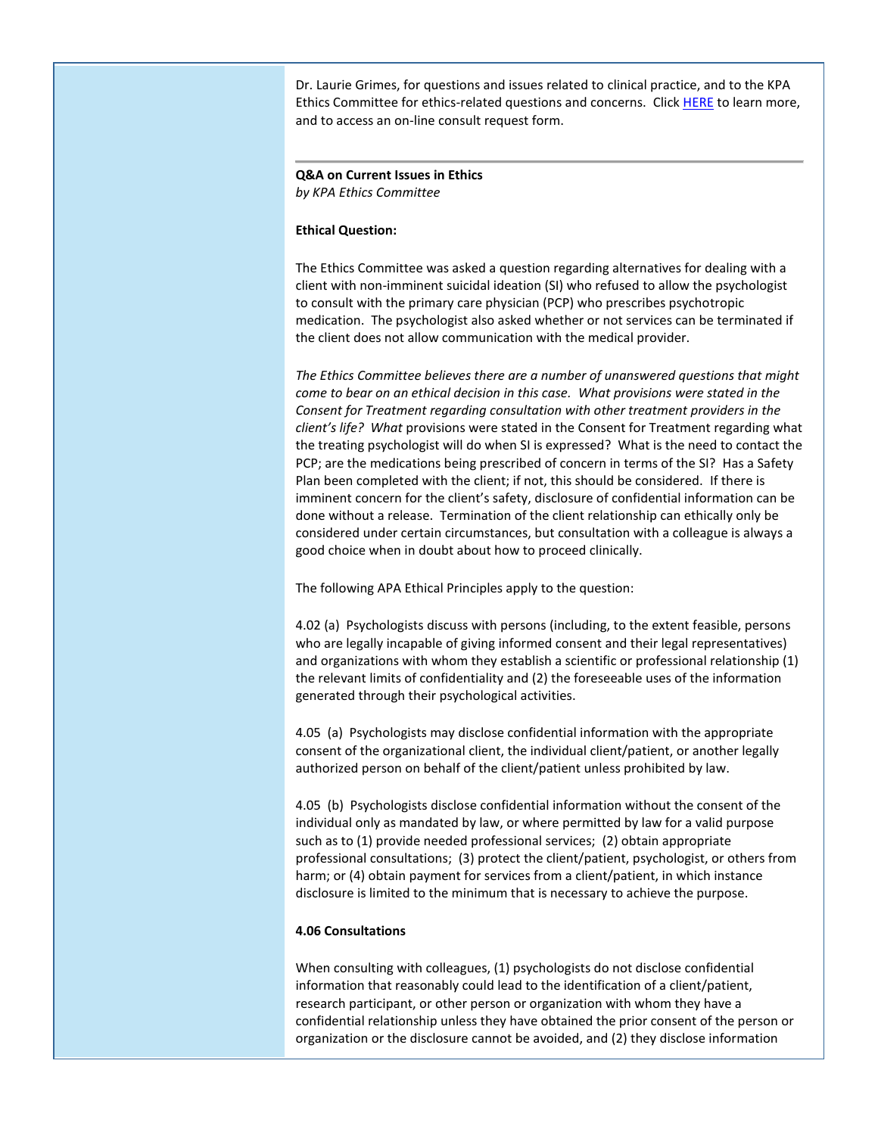Dr. Laurie Grimes, for questions and issues related to clinical practice, and to the KPA Ethics Committee for ethics-related questions and concerns. Clic[k HERE](http://www.kpa.org/?page=440) to learn more, and to access an on-line consult request form.

# **Q&A on Current Issues in Ethics** *by KPA Ethics Committee*

## **Ethical Question:**

The Ethics Committee was asked a question regarding alternatives for dealing with a client with non-imminent suicidal ideation (SI) who refused to allow the psychologist to consult with the primary care physician (PCP) who prescribes psychotropic medication. The psychologist also asked whether or not services can be terminated if the client does not allow communication with the medical provider.

*The Ethics Committee believes there are a number of unanswered questions that might come to bear on an ethical decision in this case. What provisions were stated in the Consent for Treatment regarding consultation with other treatment providers in the client's life? What* provisions were stated in the Consent for Treatment regarding what the treating psychologist will do when SI is expressed? What is the need to contact the PCP; are the medications being prescribed of concern in terms of the SI? Has a Safety Plan been completed with the client; if not, this should be considered. If there is imminent concern for the client's safety, disclosure of confidential information can be done without a release. Termination of the client relationship can ethically only be considered under certain circumstances, but consultation with a colleague is always a good choice when in doubt about how to proceed clinically.

The following APA Ethical Principles apply to the question:

4.02 (a) Psychologists discuss with persons (including, to the extent feasible, persons who are legally incapable of giving informed consent and their legal representatives) and organizations with whom they establish a scientific or professional relationship (1) the relevant limits of confidentiality and (2) the foreseeable uses of the information generated through their psychological activities.

4.05 (a) Psychologists may disclose confidential information with the appropriate consent of the organizational client, the individual client/patient, or another legally authorized person on behalf of the client/patient unless prohibited by law.

4.05 (b) Psychologists disclose confidential information without the consent of the individual only as mandated by law, or where permitted by law for a valid purpose such as to (1) provide needed professional services; (2) obtain appropriate professional consultations; (3) protect the client/patient, psychologist, or others from harm; or (4) obtain payment for services from a client/patient, in which instance disclosure is limited to the minimum that is necessary to achieve the purpose.

# **4.06 Consultations**

When consulting with colleagues, (1) psychologists do not disclose confidential information that reasonably could lead to the identification of a client/patient, research participant, or other person or organization with whom they have a confidential relationship unless they have obtained the prior consent of the person or organization or the disclosure cannot be avoided, and (2) they disclose information